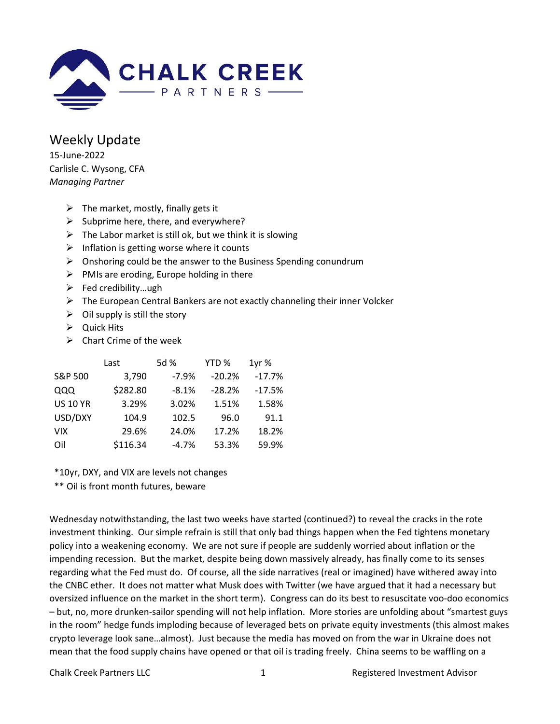

Weekly Update 15-June-2022 Carlisle C. Wysong, CFA Managing Partner

- $\triangleright$  The market, mostly, finally gets it
- $\triangleright$  Subprime here, there, and everywhere?
- $\triangleright$  The Labor market is still ok, but we think it is slowing
- $\triangleright$  Inflation is getting worse where it counts
- $\triangleright$  Onshoring could be the answer to the Business Spending conundrum
- $\triangleright$  PMIs are eroding, Europe holding in there
- $\triangleright$  Fed credibility...ugh
- $\triangleright$  The European Central Bankers are not exactly channeling their inner Volcker
- $\triangleright$  Oil supply is still the story
- $\triangleright$  Quick Hits
- $\triangleright$  Chart Crime of the week

|                 | Last     | 5d %    | YTD %    | 1yr%     |
|-----------------|----------|---------|----------|----------|
| S&P 500         | 3,790    | $-7.9%$ | $-20.2%$ | $-17.7%$ |
| QQQ             | \$282.80 | $-8.1%$ | $-28.2%$ | $-17.5%$ |
| <b>US 10 YR</b> | 3.29%    | 3.02%   | 1.51%    | 1.58%    |
| USD/DXY         | 104.9    | 102.5   | 96.0     | 91.1     |
| <b>VIX</b>      | 29.6%    | 24.0%   | 17.2%    | 18.2%    |
| Oil             | \$116.34 | $-4.7%$ | 53.3%    | 59.9%    |

\*10yr, DXY, and VIX are levels not changes

\*\* Oil is front month futures, beware

Wednesday notwithstanding, the last two weeks have started (continued?) to reveal the cracks in the rote investment thinking. Our simple refrain is still that only bad things happen when the Fed tightens monetary policy into a weakening economy. We are not sure if people are suddenly worried about inflation or the impending recession. But the market, despite being down massively already, has finally come to its senses regarding what the Fed must do. Of course, all the side narratives (real or imagined) have withered away into the CNBC ether. It does not matter what Musk does with Twitter (we have argued that it had a necessary but oversized influence on the market in the short term). Congress can do its best to resuscitate voo-doo economics – but, no, more drunken-sailor spending will not help inflation. More stories are unfolding about "smartest guys in the room" hedge funds imploding because of leveraged bets on private equity investments (this almost makes crypto leverage look sane…almost). Just because the media has moved on from the war in Ukraine does not mean that the food supply chains have opened or that oil is trading freely. China seems to be waffling on a

Chalk Creek Partners LLC 1 and 1 Registered Investment Advisor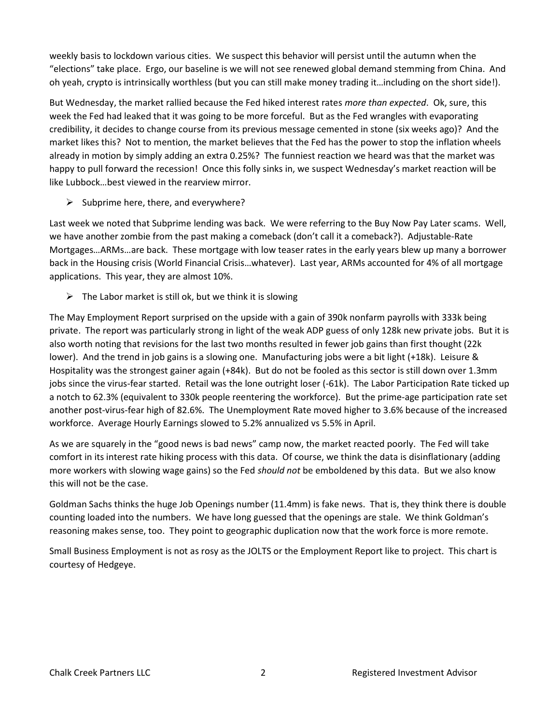weekly basis to lockdown various cities. We suspect this behavior will persist until the autumn when the "elections" take place. Ergo, our baseline is we will not see renewed global demand stemming from China. And oh yeah, crypto is intrinsically worthless (but you can still make money trading it…including on the short side!).

But Wednesday, the market rallied because the Fed hiked interest rates more than expected. Ok, sure, this week the Fed had leaked that it was going to be more forceful. But as the Fed wrangles with evaporating credibility, it decides to change course from its previous message cemented in stone (six weeks ago)? And the market likes this? Not to mention, the market believes that the Fed has the power to stop the inflation wheels already in motion by simply adding an extra 0.25%? The funniest reaction we heard was that the market was happy to pull forward the recession! Once this folly sinks in, we suspect Wednesday's market reaction will be like Lubbock…best viewed in the rearview mirror.

 $\triangleright$  Subprime here, there, and everywhere?

Last week we noted that Subprime lending was back. We were referring to the Buy Now Pay Later scams. Well, we have another zombie from the past making a comeback (don't call it a comeback?). Adjustable-Rate Mortgages…ARMs…are back. These mortgage with low teaser rates in the early years blew up many a borrower back in the Housing crisis (World Financial Crisis…whatever). Last year, ARMs accounted for 4% of all mortgage applications. This year, they are almost 10%.

 $\triangleright$  The Labor market is still ok, but we think it is slowing

The May Employment Report surprised on the upside with a gain of 390k nonfarm payrolls with 333k being private. The report was particularly strong in light of the weak ADP guess of only 128k new private jobs. But it is also worth noting that revisions for the last two months resulted in fewer job gains than first thought (22k lower). And the trend in job gains is a slowing one. Manufacturing jobs were a bit light (+18k). Leisure & Hospitality was the strongest gainer again (+84k). But do not be fooled as this sector is still down over 1.3mm jobs since the virus-fear started. Retail was the lone outright loser (-61k). The Labor Participation Rate ticked up a notch to 62.3% (equivalent to 330k people reentering the workforce). But the prime-age participation rate set another post-virus-fear high of 82.6%. The Unemployment Rate moved higher to 3.6% because of the increased workforce. Average Hourly Earnings slowed to 5.2% annualized vs 5.5% in April.

As we are squarely in the "good news is bad news" camp now, the market reacted poorly. The Fed will take comfort in its interest rate hiking process with this data. Of course, we think the data is disinflationary (adding more workers with slowing wage gains) so the Fed should not be emboldened by this data. But we also know this will not be the case.

Goldman Sachs thinks the huge Job Openings number (11.4mm) is fake news. That is, they think there is double counting loaded into the numbers. We have long guessed that the openings are stale. We think Goldman's reasoning makes sense, too. They point to geographic duplication now that the work force is more remote.

Small Business Employment is not as rosy as the JOLTS or the Employment Report like to project. This chart is courtesy of Hedgeye.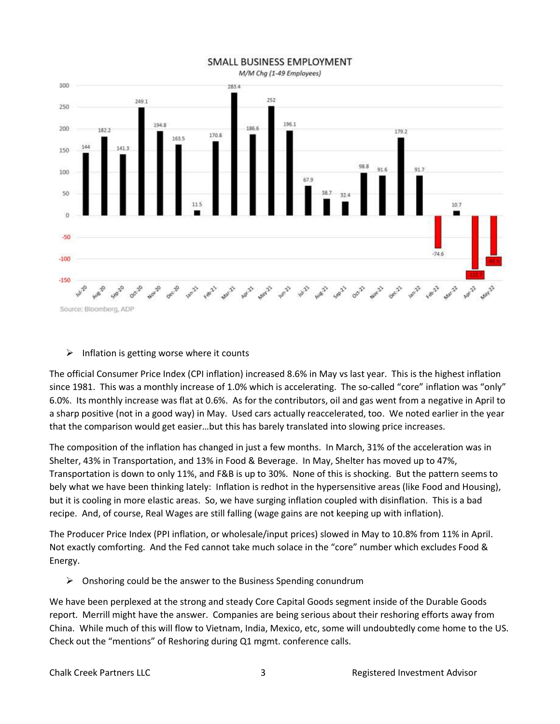

## SMALL BUSINESS EMPLOYMENT

## $\triangleright$  Inflation is getting worse where it counts

The official Consumer Price Index (CPI inflation) increased 8.6% in May vs last year. This is the highest inflation since 1981. This was a monthly increase of 1.0% which is accelerating. The so-called "core" inflation was "only" 6.0%. Its monthly increase was flat at 0.6%. As for the contributors, oil and gas went from a negative in April to a sharp positive (not in a good way) in May. Used cars actually reaccelerated, too. We noted earlier in the year that the comparison would get easier…but this has barely translated into slowing price increases.

The composition of the inflation has changed in just a few months. In March, 31% of the acceleration was in Shelter, 43% in Transportation, and 13% in Food & Beverage. In May, Shelter has moved up to 47%, Transportation is down to only 11%, and F&B is up to 30%. None of this is shocking. But the pattern seems to bely what we have been thinking lately: Inflation is redhot in the hypersensitive areas (like Food and Housing), but it is cooling in more elastic areas. So, we have surging inflation coupled with disinflation. This is a bad recipe. And, of course, Real Wages are still falling (wage gains are not keeping up with inflation).

The Producer Price Index (PPI inflation, or wholesale/input prices) slowed in May to 10.8% from 11% in April. Not exactly comforting. And the Fed cannot take much solace in the "core" number which excludes Food & Energy.

 $\triangleright$  Onshoring could be the answer to the Business Spending conundrum

We have been perplexed at the strong and steady Core Capital Goods segment inside of the Durable Goods report. Merrill might have the answer. Companies are being serious about their reshoring efforts away from China. While much of this will flow to Vietnam, India, Mexico, etc, some will undoubtedly come home to the US. Check out the "mentions" of Reshoring during Q1 mgmt. conference calls.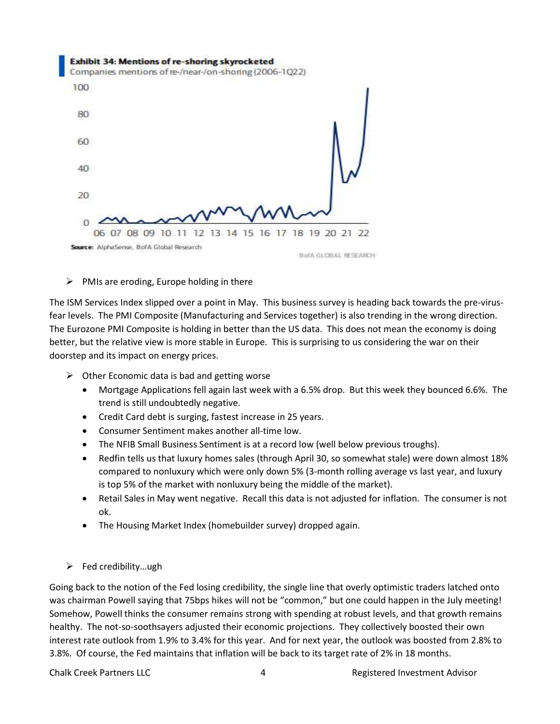

## $\triangleright$  PMIs are eroding, Europe holding in there

The ISM Services Index slipped over a point in May. This business survey is heading back towards the pre-virusfear levels. The PMI Composite (Manufacturing and Services together) is also trending in the wrong direction. The Eurozone PMI Composite is holding in better than the US data. This does not mean the economy is doing better, but the relative view is more stable in Europe. This is surprising to us considering the war on their doorstep and its impact on energy prices.

- $\triangleright$  Other Economic data is bad and getting worse
	- Mortgage Applications fell again last week with a 6.5% drop. But this week they bounced 6.6%. The trend is still undoubtedly negative.
	- Credit Card debt is surging, fastest increase in 25 years.
	- Consumer Sentiment makes another all-time low.
	- The NFIB Small Business Sentiment is at a record low (well below previous troughs).
	- Redfin tells us that luxury homes sales (through April 30, so somewhat stale) were down almost 18% compared to nonluxury which were only down 5% (3-month rolling average vs last year, and luxury is top 5% of the market with nonluxury being the middle of the market).
	- Retail Sales in May went negative. Recall this data is not adjusted for inflation. The consumer is not ok.
	- The Housing Market Index (homebuilder survey) dropped again.

## $\triangleright$  Fed credibility...ugh

Going back to the notion of the Fed losing credibility, the single line that overly optimistic traders latched onto was chairman Powell saying that 75bps hikes will not be "common," but one could happen in the July meeting! Somehow, Powell thinks the consumer remains strong with spending at robust levels, and that growth remains healthy. The not-so-soothsayers adjusted their economic projections. They collectively boosted their own interest rate outlook from 1.9% to 3.4% for this year. And for next year, the outlook was boosted from 2.8% to 3.8%. Of course, the Fed maintains that inflation will be back to its target rate of 2% in 18 months.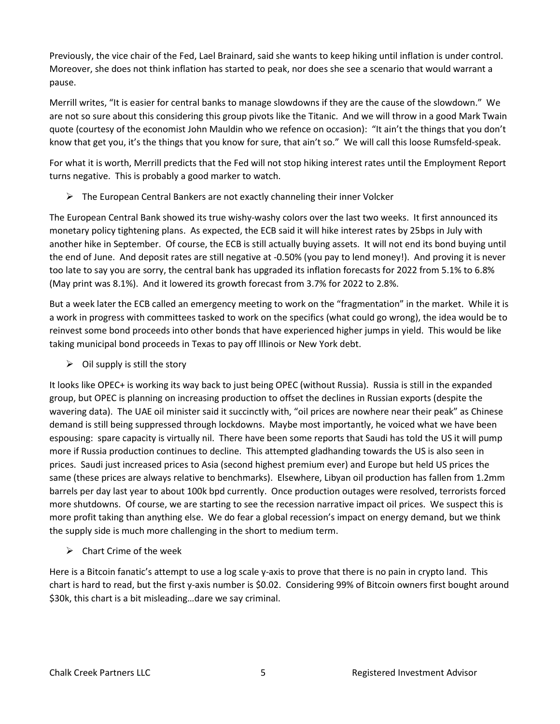Previously, the vice chair of the Fed, Lael Brainard, said she wants to keep hiking until inflation is under control. Moreover, she does not think inflation has started to peak, nor does she see a scenario that would warrant a pause.

Merrill writes, "It is easier for central banks to manage slowdowns if they are the cause of the slowdown." We are not so sure about this considering this group pivots like the Titanic. And we will throw in a good Mark Twain quote (courtesy of the economist John Mauldin who we refence on occasion): "It ain't the things that you don't know that get you, it's the things that you know for sure, that ain't so." We will call this loose Rumsfeld-speak.

For what it is worth, Merrill predicts that the Fed will not stop hiking interest rates until the Employment Report turns negative. This is probably a good marker to watch.

 $\triangleright$  The European Central Bankers are not exactly channeling their inner Volcker

The European Central Bank showed its true wishy-washy colors over the last two weeks. It first announced its monetary policy tightening plans. As expected, the ECB said it will hike interest rates by 25bps in July with another hike in September. Of course, the ECB is still actually buying assets. It will not end its bond buying until the end of June. And deposit rates are still negative at -0.50% (you pay to lend money!). And proving it is never too late to say you are sorry, the central bank has upgraded its inflation forecasts for 2022 from 5.1% to 6.8% (May print was 8.1%). And it lowered its growth forecast from 3.7% for 2022 to 2.8%.

But a week later the ECB called an emergency meeting to work on the "fragmentation" in the market. While it is a work in progress with committees tasked to work on the specifics (what could go wrong), the idea would be to reinvest some bond proceeds into other bonds that have experienced higher jumps in yield. This would be like taking municipal bond proceeds in Texas to pay off Illinois or New York debt.

 $\triangleright$  Oil supply is still the story

It looks like OPEC+ is working its way back to just being OPEC (without Russia). Russia is still in the expanded group, but OPEC is planning on increasing production to offset the declines in Russian exports (despite the wavering data). The UAE oil minister said it succinctly with, "oil prices are nowhere near their peak" as Chinese demand is still being suppressed through lockdowns. Maybe most importantly, he voiced what we have been espousing: spare capacity is virtually nil. There have been some reports that Saudi has told the US it will pump more if Russia production continues to decline. This attempted gladhanding towards the US is also seen in prices. Saudi just increased prices to Asia (second highest premium ever) and Europe but held US prices the same (these prices are always relative to benchmarks). Elsewhere, Libyan oil production has fallen from 1.2mm barrels per day last year to about 100k bpd currently. Once production outages were resolved, terrorists forced more shutdowns. Of course, we are starting to see the recession narrative impact oil prices. We suspect this is more profit taking than anything else. We do fear a global recession's impact on energy demand, but we think the supply side is much more challenging in the short to medium term.

 $\triangleright$  Chart Crime of the week

Here is a Bitcoin fanatic's attempt to use a log scale y-axis to prove that there is no pain in crypto land. This chart is hard to read, but the first y-axis number is \$0.02. Considering 99% of Bitcoin owners first bought around \$30k, this chart is a bit misleading…dare we say criminal.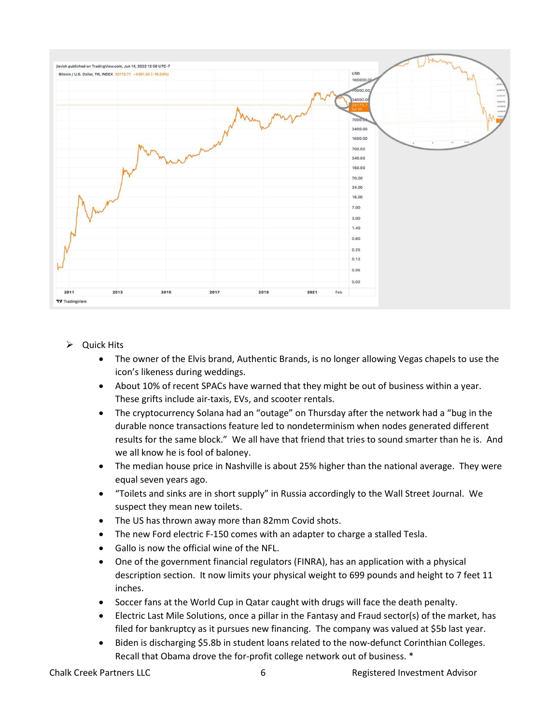

- $\triangleright$  Quick Hits
	- The owner of the Elvis brand, Authentic Brands, is no longer allowing Vegas chapels to use the icon's likeness during weddings.
	- About 10% of recent SPACs have warned that they might be out of business within a year. These grifts include air-taxis, EVs, and scooter rentals.
	- The cryptocurrency Solana had an "outage" on Thursday after the network had a "bug in the durable nonce transactions feature led to nondeterminism when nodes generated different results for the same block." We all have that friend that tries to sound smarter than he is. And we all know he is fool of baloney.
	- The median house price in Nashville is about 25% higher than the national average. They were equal seven years ago.
	- "Toilets and sinks are in short supply" in Russia accordingly to the Wall Street Journal. We suspect they mean new toilets.
	- The US has thrown away more than 82mm Covid shots.
	- The new Ford electric F-150 comes with an adapter to charge a stalled Tesla.
	- Gallo is now the official wine of the NFL.
	- One of the government financial regulators (FINRA), has an application with a physical description section. It now limits your physical weight to 699 pounds and height to 7 feet 11 inches.
	- Soccer fans at the World Cup in Qatar caught with drugs will face the death penalty.
	- Electric Last Mile Solutions, once a pillar in the Fantasy and Fraud sector(s) of the market, has filed for bankruptcy as it pursues new financing. The company was valued at \$5b last year.
	- Biden is discharging \$5.8b in student loans related to the now-defunct Corinthian Colleges. Recall that Obama drove the for-profit college network out of business. \*